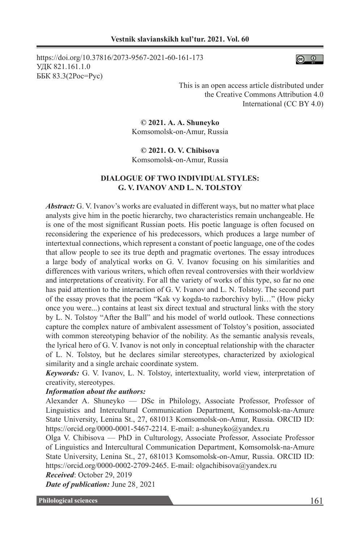https://doi.org/10.37816/2073-9567-2021-60-161-173 УДК 821.161.1.0 ББК 83.3(2Рос=Рус)



This is an open access article distributed under the Creative Commons Attribution 4.0 International (CC BY 4.0)

**© 2021. А. А. Shuneyko** Komsomolsk-on-Amur, Russia

**© 2021. O. V. Chibisova**  Komsomolsk-on-Amur, Russia

# **DIALOGUE OF TWO INDIVIDUAL STYLES: G. V. IVANOV AND L. N. TOLSTOY**

*Abstract:* G. V. Ivanov's works are evaluated in different ways, but no matter what place analysts give him in the poetic hierarchy, two characteristics remain unchangeable. He is one of the most significant Russian poets. His poetic language is often focused on reconsidering the experience of his predecessors, which produces a large number of intertextual connections, which represent a constant of poetic language, one of the codes that allow people to see its true depth and pragmatic overtones. The essay introduces a large body of analytical works on G. V. Ivanov focusing on his similarities and differences with various writers, which often reveal controversies with their worldview and interpretations of creativity. For all the variety of works of this type, so far no one has paid attention to the interaction of G. V. Ivanov and L. N. Tolstoy. The second part of the essay proves that the poem "Kak vy kogda-to razborchivy byli…" (How picky once you were...) contains at least six direct textual and structural links with the story by L. N. Tolstoy "After the Ball" and his model of world outlook. These connections capture the complex nature of ambivalent assessment of Tolstoy's position, associated with common stereotyping behavior of the nobility. As the semantic analysis reveals, the lyrical hero of G. V. Ivanov is not only in conceptual relationship with the character of L. N. Tolstoy, but he declares similar stereotypes, characterized by axiological similarity and a single archaic coordinate system.

*Keywords:* G. V. Ivanov, L. N. Tolstoy, intertextuality, world view, interpretation of creativity, stereotypes.

## *Information about the authors:*

Alexander A. Shuneyko — DSc in Philology, Associate Professor, Professor of Linguistics and Intercultural Communication Department, Komsomolsk-na-Amure State University, Lenina St., 27, 681013 Komsomolsk-on-Amur, Russia. ORCID ID: https://orcid.org/0000-0001-5467-2214. E-mail: a-shuneyko@yandex.ru

Olga V. Chibisova — PhD in Culturology, Associate Professor, Associate Professor of Linguistics and Intercultural Communication Department, Komsomolsk-na-Amure State University, Lenina St., 27, 681013 Komsomolsk-on-Amur, Russia. ORCID ID: https://orcid.org/0000-0002-2709-2465. E-mail: olgachibisova@yandex.ru

*Received*: October 29, 2019

*Date of publication:* June 28¸ 2021

**Philological sciences** 161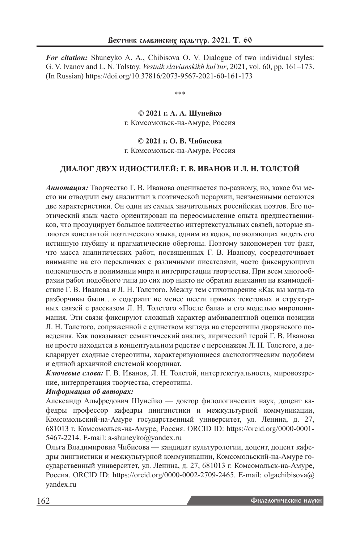*For citation:* Shuneyko A. A., Chibisova O. V. Dialogue of two individual styles: G. V. Ivanov and L. N. Tolstoy. *Vestnik slavianskikh kul'tur*, 2021, vol. 60, pp. 161–173. (In Russian) https://doi.org/10.37816/2073-9567-2021-60-161-173

\*\*\*

**© 2021 г. А. А. Шунейко** г. Комсомольск-на-Амуре, Россия

## **© 2021 г. O. В. Чибисова**

г. Комсомольск-на-Амуре, Россия

## **ДИАЛОГ ДВУХ ИДИОСТИЛЕЙ: Г. В. ИВАНОВ И Л. Н. ТОЛСТОЙ**

*Аннотация:* Творчество Г. В. Иванова оценивается по-разному, но, какое бы место ни отводили ему аналитики в поэтической иерархии, неизменными остаются две характеристики. Он один из самых значительных российских поэтов. Его поэтический язык часто ориентирован на переосмысление опыта предшественников, что продуцирует большое количество интертекстуальных связей, которые являются константой поэтического языка, одним из кодов, позволяющих видеть его истинную глубину и прагматические обертоны. Поэтому закономерен тот факт, что масса аналитических работ, посвященных Г. В. Иванову, сосредоточивает внимание на его перекличках с различными писателями, часто фиксирующими полемичность в понимании мира и интерпретации творчества. При всем многообразии работ подобного типа до сих пор никто не обратил внимания на взаимодействие Г. В. Иванова и Л. Н. Толстого. Между тем стихотворение «Как вы когда-то разборчивы были…» содержит не менее шести прямых текстовых и структурных связей с рассказом Л. Н. Толстого «После бала» и его моделью миропонимания. Эти связи фиксируют сложный характер амбивалентной оценки позиции Л. Н. Толстого, сопряженной с единством взгляда на стереотипы дворянского поведения. Как показывает семантический анализ, лирический герой Г. В. Иванова не просто находится в концептуальном родстве с персонажем Л. Н. Толстого, а декларирует сходные стереотипы, характеризующиеся аксиологическим подобием и единой архаичной системой координат.

*Ключевые слова:* Г. В. Иванов, Л. Н. Толстой, интертекстуальность, мировоззрение, интерпретация творчества, стереотипы.

#### *Информация об авторах:*

Александр Альфредович Шунейко — доктор филологических наук, доцент кафедры профессор кафедры лингвистики и межкультурной коммуникации, Комсомольский-на-Амуре государственный университет, ул. Ленина, д. 27, 681013 г. Комсомольск-на-Амуре, Россия. ORCID ID: https://orcid.org/0000-0001- 5467-2214. E-mail: a-shuneyko@yandex.ru

Ольга Владимировна Чибисова — кандидат культурологии, доцент, доцент кафедры лингвистики и межкультурной коммуникации, Комсомольский-на-Амуре государственный университет, ул. Ленина, д. 27, 681013 г. Комсомольск-на-Амуре, Россия. ORCID ID: https://orcid.org/0000-0002-2709-2465. E-mail: olgachibisova@ yandex.ru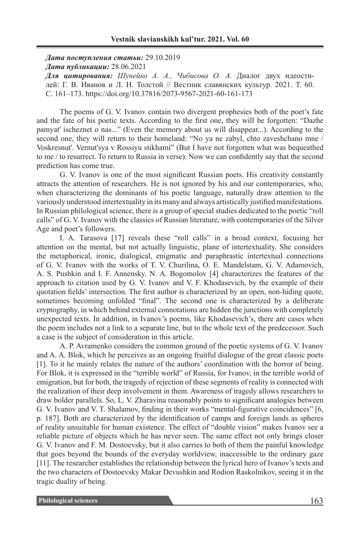*Дата поступления статьи:* 29.10.2019 *Дата публикации:* 28.06.2021

*Для цитирования: Шунейко А. А., Чибисова О. А.* Диалог двух идеостилей: Г. В. Иванов и Л. Н. Толстой // Вестник славянских культур. 2021. Т. 60. С. 161–173. https://doi.org/10.37816/2073-9567-2021-60-161-173

The poems of G. V. Ivanov contain two divergent prophesies both of the poet's fate and the fate of his poetic texts. According to the first one, they will be forgotten: "Dazhe pamyat' ischeznet o nas..." (Even the memory about us will disappear...). According to the second one, they will return to their homeland: "No ya ne zabyl, chto zaveshchano mne / Voskresnut'. Vernut'sya v Rossiyu stikhami" (But I have not forgotten what was bequeathed to me / to resurrect. To return to Russia in verse). Now we can confidently say that the second prediction has come true.

G. V. Ivanov is one of the most significant Russian poets. His creativity constantly attracts the attention of researchers. He is not ignored by his and our contemporaries, who, when characterizing the dominants of his poetic language, naturally draw attention to the variously understood intertextuality in its many and always artistically justified manifestations. In Russian philological science, there is a group of special studies dedicated to the poetic "roll calls" of G. V. Ivanov with the classics of Russian literature, with contemporaries of the Silver Age and poet's followers.

I. A. Tarasova [17] reveals these "roll calls" in a broad context, focusing her attention on the mental, but not actually linguistic, plane of intertextuality. She considers the metaphorical, ironic, dialogical, enigmatic and paraphrastic intertextual connections of G. V. Ivanov with the works of T. V. Churilina, O. E. Mandelstam, G. V. Adamovich, A. S. Pushkin and I. F. Annensky. N. A. Bogomolov [4] characterizes the features of the approach to citation used by G. V. Ivanov and V. F. Khodasevich, by the example of their quotation fields' intersection. The first author is characterized by an open, non-hiding quote, sometimes becoming unfolded "final". The second one is characterized by a deliberate cryptography, in which behind external connotations are hidden the junctions with completely unexpected texts. In addition, in Ivanov's poems, like Khodasevich's, there are cases when the poem includes not a link to a separate line, but to the whole text of the predecessor. Such a case is the subject of consideration in this article.

A. P. Avramenko considers the common ground of the poetic systems of G. V. Ivanov and A. A. Blok, which he perceives as an ongoing fruitful dialogue of the great classic poets [1]. To it he mainly relates the nature of the authors' coordination with the horror of being. For Blok, it is expressed in the "terrible world" of Russia, for Ivanov, in the terrible world of emigration, but for both, the tragedy of rejection of these segments of reality is connected with the realization of their deep involvement in them. Awareness of tragedy allows researchers to draw bolder parallels. So, L. V. Zharavina reasonably points to significant analogies between G. V. Ivanov and V. T. Shalamov, finding in their works "mental-figurative coincidences" [6, p. 187]. Both are characterized by the identification of camps and foreign lands as spheres of reality unsuitable for human existence. The effect of "double vision" makes Ivanov see a reliable picture of objects which he has never seen. The same effect not only brings closer G. V. Ivanov and F. M. Dostoevsky, but it also carries to both of them the painful knowledge that goes beyond the bounds of the everyday worldview, inaccessible to the ordinary gaze [11]. The researcher establishes the relationship between the lyrical hero of Ivanov's texts and the two characters of Dostoevsky Makar Devushkin and Rodion Raskolnikov, seeing it in the tragic duality of being.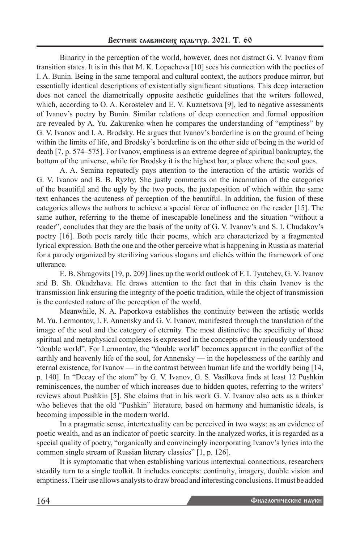Binarity in the perception of the world, however, does not distract G. V. Ivanov from transition states. It is in this that M. K. Lopacheva [10] sees his connection with the poetics of I. A. Bunin. Being in the same temporal and cultural context, the authors produce mirror, but essentially identical descriptions of existentially significant situations. This deep interaction does not cancel the diametrically opposite aesthetic guidelines that the writers followed, which, according to O. A. Korostelev and E. V. Kuznetsova [9], led to negative assessments of Ivanov's poetry by Bunin. Similar relations of deep connection and formal opposition are revealed by A. Yu. Zakurenko when he compares the understanding of "emptiness" by G. V. Ivanov and I. A. Brodsky. He argues that Ivanov's borderline is on the ground of being within the limits of life, and Brodsky's borderline is on the other side of being in the world of death [7, p. 574–575]. For Ivanov, emptiness is an extreme degree of spiritual bankruptcy, the bottom of the universe, while for Brodsky it is the highest bar, a place where the soul goes.

A. A. Semina repeatedly pays attention to the interaction of the artistic worlds of G. V. Ivanov and B. B. Ryzhy. She justly comments on the incarnation of the categories of the beautiful and the ugly by the two poets, the juxtaposition of which within the same text enhances the acuteness of perception of the beautiful. In addition, the fusion of these categories allows the authors to achieve a special force of influence on the reader [15]. The same author, referring to the theme of inescapable loneliness and the situation "without a reader", concludes that they are the basis of the unity of G. V. Ivanov's and S. I. Chudakov's poetry [16]. Both poets rarely title their poems, which are characterized by a fragmented lyrical expression. Both the one and the other perceive what is happening in Russia as material for a parody organized by sterilizing various slogans and clichés within the framework of one utterance.

E. B. Shragovits [19, p. 209] lines up the world outlook of F. I. Tyutchev, G. V. Ivanov and B. Sh. Okudzhava. He draws attention to the fact that in this chain Ivanov is the transmission link ensuring the integrity of the poetic tradition, while the object of transmission is the contested nature of the perception of the world.

Meanwhile, N. A. Paporkova establishes the continuity between the artistic worlds M. Yu. Lermontov, I. F. Annensky and G. V. Ivanov, manifested through the translation of the image of the soul and the category of eternity. The most distinctive the specificity of these spiritual and metaphysical complexes is expressed in the concepts of the variously understood "double world". For Lermontov, the "double world" becomes apparent in the conflict of the earthly and heavenly life of the soul, for Annensky — in the hopelessness of the earthly and eternal existence, for Ivanov — in the contrast between human life and the worldly being [14, p. 140]. In "Decay of the atom" by G. V. Ivanov, G. S. Vasilkova finds at least 12 Pushkin reminiscences, the number of which increases due to hidden quotes, referring to the writers' reviews about Pushkin [5]. She claims that in his work G. V. Ivanov also acts as a thinker who believes that the old "Pushkin" literature, based on harmony and humanistic ideals, is becoming impossible in the modern world.

In a pragmatic sense, intertextuality can be perceived in two ways: as an evidence of poetic wealth, and as an indicator of poetic scarcity. In the analyzed works, it is regarded as a special quality of poetry, "organically and convincingly incorporating Ivanov's lyrics into the common single stream of Russian literary classics" [1, p. 126].

It is symptomatic that when establishing various intertextual connections, researchers steadily turn to a single toolkit. It includes concepts: continuity, imagery, double vision and emptiness. Their use allows analysts to draw broad and interesting conclusions. It must be added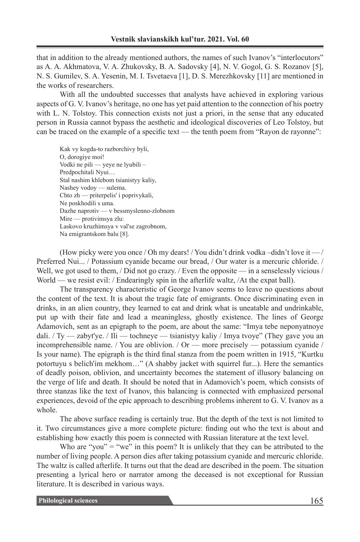that in addition to the already mentioned authors, the names of such Ivanov's "interlocutors" as A. A. Akhmatova, V. A. Zhukovsky, B. A. Sadovsky [4], N. V. Gogol, G. S. Rozanov [5], N. S. Gumilev, S. A. Yesenin, M. I. Tsvetaeva [1], D. S. Merezhkovsky [11] are mentioned in the works of researchers.

With all the undoubted successes that analysts have achieved in exploring various aspects of G. V. Ivanov's heritage, no one has yet paid attention to the connection of his poetry with L. N. Tolstoy. This connection exists not just a priori, in the sense that any educated person in Russia cannot bypass the aesthetic and ideological discoveries of Leo Tolstoy, but can be traced on the example of a specific text — the tenth poem from "Rayon de rayonne":

Kak vy kogda-to razborchivy byli, O, dorogiye moi! Vodki ne pili — yeye ne lyubili – Predpochitali Nyui… Stal nashim khlebom tsianistyy kaliy, Nashey vodoy — sulema. Chto zh — priterpelis' i poprivykali, Ne poskhodili s uma. Dazhe naprotiv — v bessmyslenno-zlobnom Mire — protivimsya zlu: Laskovo kruzhimsya v val'se zagrobnom, Na emigrantskom balu [8].

(How picky were you once / Oh my dears! / You didn't drink vodka –didn't love it — / Preferred Nui... / Potassium cyanide became our bread, / Our water is a mercuric chloride. / Well, we got used to them, / Did not go crazy. / Even the opposite — in a senselessly vicious / World — we resist evil: / Endearingly spin in the afterlife waltz, /At the expat ball).

The transparency characteristic of George Ivanov seems to leave no questions about the content of the text. It is about the tragic fate of emigrants. Once discriminating even in drinks, in an alien country, they learned to eat and drink what is uneatable and undrinkable, put up with their fate and lead a meaningless, ghostly existence. The lines of George Adamovich, sent as an epigraph to the poem, are about the same: "Imya tebe neponyatnoye dali. / Ty — zabyt'ye. / Ili — tochneye — tsianistyy kaliy / Imya tvoye" (They gave you an incomprehensible name. / You are oblivion. / Or — more precisely — potassium cyanide / Is your name). The epigraph is the third final stanza from the poem written in 1915, "Kurtku potortuyu s belich'im mekhom…" (A shabby jacket with squirrel fur...). Here the semantics of deadly poison, oblivion, and uncertainty becomes the statement of illusory balancing on the verge of life and death. It should be noted that in Adamovich's poem, which consists of three stanzas like the text of Ivanov, this balancing is connected with emphasized personal experiences, devoid of the epic approach to describing problems inherent to G. V. Ivanov as a whole.

The above surface reading is certainly true. But the depth of the text is not limited to it. Two circumstances give a more complete picture: finding out who the text is about and establishing how exactly this poem is connected with Russian literature at the text level.

Who are "you" = "we" in this poem? It is unlikely that they can be attributed to the number of living people. A person dies after taking potassium cyanide and mercuric chloride. The waltz is called afterlife. It turns out that the dead are described in the poem. The situation presenting a lyrical hero or narrator among the deceased is not exceptional for Russian literature. It is described in various ways.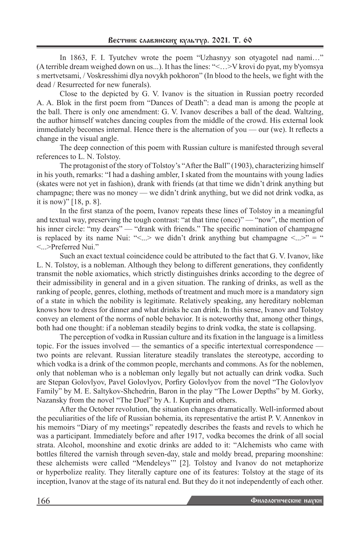In 1863, F. I. Tyutchev wrote the poem "Uzhasnyy son otyagotel nad nami…" (Aterrible dream weighed down on us...). It has the lines: "<…>V krovi do pyat, my b'yomsya s mertvetsami, / Voskresshimi dlya novykh pokhoron" (In blood to the heels, we fight with the dead / Resurrected for new funerals).

Close to the depicted by G. V. Ivanov is the situation in Russian poetry recorded A. A. Blok in the first poem from "Dances of Death": a dead man is among the people at the ball. There is only one amendment: G. V. Ivanov describes a ball of the dead. Waltzing, the author himself watches dancing couples from the middle of the crowd. His external look immediately becomes internal. Hence there is the alternation of you — our (we). It reflects a change in the visual angle.

The deep connection of this poem with Russian culture is manifested through several references to L. N. Tolstoy.

The protagonist of the story of Tolstoy's "After the Ball" (1903), characterizing himself in his youth, remarks: "I had a dashing ambler, I skated from the mountains with young ladies (skates were not yet in fashion), drank with friends (at that time we didn't drink anything but champagne; there was no money — we didn't drink anything, but we did not drink vodka, as it is now)" [18, p. 8].

In the first stanza of the poem, Ivanov repeats these lines of Tolstoy in a meaningful and textual way, preserving the tough contrast: "at that time (once)" — "now", the mention of his inner circle: "my dears" — "drank with friends." The specific nomination of champagne is replaced by its name Nui: "<...> we didn't drink anything but champagne <...>" = " <...>Preferred Nui."

Such an exact textual coincidence could be attributed to the fact that G. V. Ivanov, like L. N. Tolstoy, is a nobleman. Although they belong to different generations, they confidently transmit the noble axiomatics, which strictly distinguishes drinks according to the degree of their admissibility in general and in a given situation. The ranking of drinks, as well as the ranking of people, genres, clothing, methods of treatment and much more is a mandatory sign of a state in which the nobility is legitimate. Relatively speaking, any hereditary nobleman knows how to dress for dinner and what drinks he can drink. In this sense, Ivanov and Tolstoy convey an element of the norms of noble behavior. It is noteworthy that, among other things, both had one thought: if a nobleman steadily begins to drink vodka, the state is collapsing.

The perception of vodka in Russian culture and its fixation in the language is a limitless topic. For the issues involved — the semantics of a specific intertextual correspondence two points are relevant. Russian literature steadily translates the stereotype, according to which vodka is a drink of the common people, merchants and commons. As for the noblemen, only that nobleman who is a nobleman only legally but not actually can drink vodka. Such are Stepan Golovlyov, Pavel Golovlyov, Porfiry Golovlyov from the novel "The Golovlyov Family" by M. E. Saltykov-Shchedrin, Baron in the play "The Lower Depths" by M. Gorky, Nazansky from the novel "The Duel" by A. I. Kuprin and others.

After the October revolution, the situation changes dramatically. Well-informed about the peculiarities of the life of Russian bohemia, its representative the artist P. V. Annenkov in his memoirs "Diary of my meetings" repeatedly describes the feasts and revels to which he was a participant. Immediately before and after 1917, vodka becomes the drink of all social strata. Alcohol, moonshine and exotic drinks are added to it: "Alchemists who came with bottles filtered the varnish through seven-day, stale and moldy bread, preparing moonshine: these alchemists were called "Mendeleys'" [2]. Tolstoy and Ivanov do not metaphorize or hyperbolize reality. They literally capture one of its features: Tolstoy at the stage of its inception, Ivanov at the stage of its natural end. But they do it not independently of each other.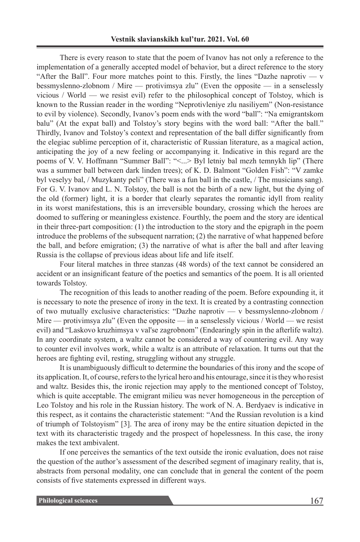There is every reason to state that the poem of Ivanov has not only a reference to the implementation of a generally accepted model of behavior, but a direct reference to the story "After the Ball". Four more matches point to this. Firstly, the lines "Dazhe naprotiv —  $v$ bessmyslenno-zlobnom / Mire — protivimsya zlu" (Even the opposite — in a senselessly vicious / World — we resist evil) refer to the philosophical concept of Tolstoy, which is known to the Russian reader in the wording "Neprotivleniye zlu nasiliyem" (Non-resistance to evil by violence). Secondly, Ivanov's poem ends with the word "ball": "Na emigrantskom balu" (At the expat ball) and Tolstoy's story begins with the word ball: "After the ball." Thirdly, Ivanov and Tolstoy's context and representation of the ball differ significantly from the elegiac sublime perception of it, characteristic of Russian literature, as a magical action, anticipating the joy of a new feeling or accompanying it. Indicative in this regard are the poems of V. V. Hoffmann "Summer Ball": "<...> Byl letniy bal mezh temnykh lip" (There was a summer ball between dark linden trees); of K. D. Balmont "Golden Fish": "V zamke byl veselyy bal, / Muzykanty peli" (There was a fun ball in the castle, / The musicians sang). For G. V. Ivanov and L. N. Tolstoy, the ball is not the birth of a new light, but the dying of the old (former) light, it is a border that clearly separates the romantic idyll from reality in its worst manifestations, this is an irreversible boundary, crossing which the heroes are doomed to suffering or meaningless existence. Fourthly, the poem and the story are identical in their three-part composition: (1) the introduction to the story and the epigraph in the poem introduce the problems of the subsequent narration; (2) the narrative of what happened before the ball, and before emigration; (3) the narrative of what is after the ball and after leaving Russia is the collapse of previous ideas about life and life itself.

Four literal matches in three stanzas (48 words) of the text cannot be considered an accident or an insignificant feature of the poetics and semantics of the poem. It is all oriented towards Tolstoy.

The recognition of this leads to another reading of the poem. Before expounding it, it is necessary to note the presence of irony in the text. It is created by a contrasting connection of two mutually exclusive characteristics: "Dazhe naprotiv — v bessmyslenno-zlobnom / Mire — protivimsya zlu" (Even the opposite — in a senselessly vicious / World — we resist evil) and "Laskovo kruzhimsya v val'se zagrobnom" (Endearingly spin in the afterlife waltz). In any coordinate system, a waltz cannot be considered a way of countering evil. Any way to counter evil involves work, while a waltz is an attribute of relaxation. It turns out that the heroes are fighting evil, resting, struggling without any struggle.

It is unambiguously difficult to determine the boundaries of this irony and the scope of its application. It, of course, refers to the lyrical hero and his entourage, since it is they who resist and waltz. Besides this, the ironic rejection may apply to the mentioned concept of Tolstoy, which is quite acceptable. The emigrant milieu was never homogeneous in the perception of Leo Tolstoy and his role in the Russian history. The work of N. A. Berdyaev is indicative in this respect, as it contains the characteristic statement: "And the Russian revolution is a kind of triumph of Tolstoyism" [3]. The area of irony may be the entire situation depicted in the text with its characteristic tragedy and the prospect of hopelessness. In this case, the irony makes the text ambivalent.

If one perceives the semantics of the text outside the ironic evaluation, does not raise the question of the author's assessment of the described segment of imaginary reality, that is, abstracts from personal modality, one can conclude that in general the content of the poem consists of five statements expressed in different ways.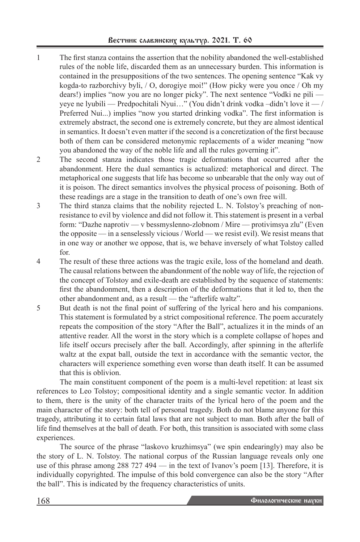- 1 The first stanza contains the assertion that the nobility abandoned the well-established rules of the noble life, discarded them as an unnecessary burden. This information is contained in the presuppositions of the two sentences. The opening sentence "Kak vy kogda-to razborchivy byli, / O, dorogiye moi!" (How picky were you once / Oh my dears!) implies "now you are no longer picky". The next sentence "Vodki ne pili yeye ne lyubili — Predpochitali Nyui…" (You didn't drink vodka –didn't love it — / Preferred Nui...) implies "now you started drinking vodka". The first information is extremely abstract, the second one is extremely concrete, but they are almost identical in semantics. It doesn't even matter if the second is a concretization of the first because both of them can be considered metonymic replacements of a wider meaning "now you abandoned the way of the noble life and all the rules governing it".
- 2 The second stanza indicates those tragic deformations that occurred after the abandonment. Here the dual semantics is actualized: metaphorical and direct. The metaphorical one suggests that life has become so unbearable that the only way out of it is poison. The direct semantics involves the physical process of poisoning. Both of these readings are a stage in the transition to death of one's own free will.
- 3 The third stanza claims that the nobility rejected L. N. Tolstoy's preaching of nonresistance to evil by violence and did not follow it. This statement is present in a verbal form: "Dazhe naprotiv — v bessmyslenno-zlobnom / Mire — protivimsya zlu" (Even the opposite — in a senselessly vicious / World — we resist evil). We resist means that in one way or another we oppose, that is, we behave inversely of what Tolstoy called for.
- 4 The result of these three actions was the tragic exile, loss of the homeland and death. The causal relations between the abandonment of the noble way of life, the rejection of the concept of Tolstoy and exile-death are established by the sequence of statements: first the abandonment, then a description of the deformations that it led to, then the other abandonment and, as a result — the "afterlife waltz".
- 5 But death is not the final point of suffering of the lyrical hero and his companions. This statement is formulated by a strict compositional reference. The poem accurately repeats the composition of the story "After the Ball", actualizes it in the minds of an attentive reader. All the worst in the story which is a complete collapse of hopes and life itself occurs precisely after the ball. Accordingly, after spinning in the afterlife waltz at the expat ball, outside the text in accordance with the semantic vector, the characters will experience something even worse than death itself. It can be assumed that this is oblivion.

The main constituent component of the poem is a multi-level repetition: at least six references to Leo Tolstoy; compositional identity and a single semantic vector. In addition to them, there is the unity of the character traits of the lyrical hero of the poem and the main character of the story: both tell of personal tragedy. Both do not blame anyone for this tragedy, attributing it to certain fatal laws that are not subject to man. Both after the ball of life find themselves at the ball of death. For both, this transition is associated with some class experiences.

The source of the phrase "laskovo kruzhimsya" (we spin endearingly) may also be the story of L. N. Tolstoy. The national corpus of the Russian language reveals only one use of this phrase among 288 727 494 — in the text of Ivanov's poem [13]. Therefore, it is individually copyrighted. The impulse of this bold convergence can also be the story "After the ball". This is indicated by the frequency characteristics of units.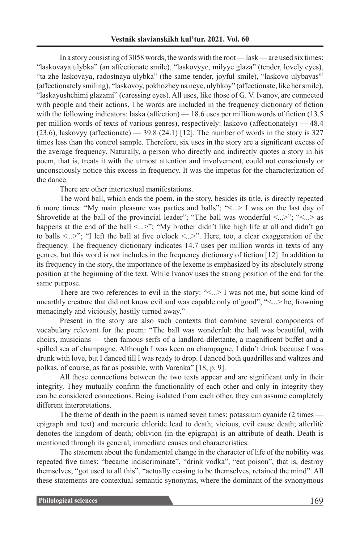In a story consisting of 3058 words, the words with the root — lask — are used six times: "laskovaya ulybka" (an affectionate smile), "laskovyye, milyye glaza" (tender, lovely eyes), "ta zhe laskovaya, radostnaya ulybka" (the same tender, joyful smile), "laskovo ulybayas'" (affectionately smiling), "laskovoy, pokhozhey na neye, ulybkoy" (affectionate, like her smile), "laskayushchimi glazami" (caressing eyes). All uses, like those of G. V. Ivanov, are connected with people and their actions. The words are included in the frequency dictionary of fiction with the following indicators: laska (affection) — 18.6 uses per million words of fiction (13.5) per million words of texts of various genres), respectively: laskovo (affectionately) — 48.4  $(23.6)$ , laskovyy (affectionate) — 39.8 (24.1) [12]. The number of words in the story is 327 times less than the control sample. Therefore, six uses in the story are a significant excess of the average frequency. Naturally, a person who directly and indirectly quotes a story in his poem, that is, treats it with the utmost attention and involvement, could not consciously or unconsciously notice this excess in frequency. It was the impetus for the characterization of the dance.

There are other intertextual manifestations.

The word ball, which ends the poem, in the story, besides its title, is directly repeated 6 more times: "My main pleasure was parties and balls"; "<...> I was on the last day of Shrovetide at the ball of the provincial leader"; "The ball was wonderful  $\leq$ ...>"; " $\leq$ ...> as happens at the end of the ball  $\langle ... \rangle$ "; "My brother didn't like high life at all and didn't go to balls <...>"; "I left the ball at five o'clock <...>". Here, too, a clear exaggeration of the frequency. The frequency dictionary indicates 14.7 uses per million words in texts of any genres, but this word is not includes in the frequency dictionary of fiction [12]. In addition to its frequency in the story, the importance of the lexeme is emphasized by its absolutely strong position at the beginning of the text. While Ivanov uses the strong position of the end for the same purpose.

There are two references to evil in the story: "<...> I was not me, but some kind of unearthly creature that did not know evil and was capable only of good"; "<...> he, frowning menacingly and viciously, hastily turned away."

Present in the story are also such contexts that combine several components of vocabulary relevant for the poem: "The ball was wonderful: the hall was beautiful, with choirs, musicians — then famous serfs of a landlord-dilettante, a magnificent buffet and a spilled sea of champagne. Although I was keen on champagne, I didn't drink because I was drunk with love, but I danced till I was ready to drop. I danced both quadrilles and waltzes and polkas, of course, as far as possible, with Varenka" [18, p. 9].

All these connections between the two texts appear and are significant only in their integrity. They mutually confirm the functionality of each other and only in integrity they can be considered connections. Being isolated from each other, they can assume completely different interpretations.

The theme of death in the poem is named seven times: potassium cyanide (2 times epigraph and text) and mercuric chloride lead to death; vicious, evil cause death; afterlife denotes the kingdom of death; oblivion (in the epigraph) is an attribute of death. Death is mentioned through its general, immediate causes and characteristics.

The statement about the fundamental change in the character of life of the nobility was repeated five times: "became indiscriminate", "drink vodka", "eat poison", that is, destroy themselves; "got used to all this", "actually ceasing to be themselves, retained the mind". All these statements are contextual semantic synonyms, where the dominant of the synonymous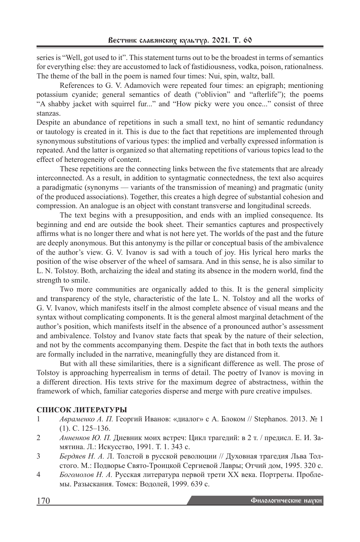series is "Well, got used to it". This statement turns out to be the broadest in terms of semantics for everything else: they are accustomed to lack of fastidiousness, vodka, poison, rationalness. The theme of the ball in the poem is named four times: Nui, spin, waltz, ball.

References to G. V. Adamovich were repeated four times: an epigraph; mentioning potassium cyanide; general semantics of death ("oblivion" and "afterlife"); the poems "A shabby jacket with squirrel fur..." and "How picky were you once..." consist of three stanzas.

Despite an abundance of repetitions in such a small text, no hint of semantic redundancy or tautology is created in it. This is due to the fact that repetitions are implemented through synonymous substitutions of various types: the implied and verbally expressed information is repeated. And the latter is organized so that alternating repetitions of various topics lead to the effect of heterogeneity of content.

These repetitions are the connecting links between the five statements that are already interconnected. As a result, in addition to syntagmatic connectedness, the text also acquires a paradigmatic (synonyms — variants of the transmission of meaning) and pragmatic (unity of the produced associations). Together, this creates a high degree of substantial cohesion and compression. An analogue is an object with constant transverse and longitudinal screeds.

The text begins with a presupposition, and ends with an implied consequence. Its beginning and end are outside the book sheet. Their semantics captures and prospectively affirms what is no longer there and what is not here yet. The worlds of the past and the future are deeply anonymous. But this antonymy is the pillar or conceptual basis of the ambivalence of the author's view. G. V. Ivanov is sad with a touch of joy. His lyrical hero marks the position of the wise observer of the wheel of samsara. And in this sense, he is also similar to L. N. Tolstoy. Both, archaizing the ideal and stating its absence in the modern world, find the strength to smile.

Two more communities are organically added to this. It is the general simplicity and transparency of the style, characteristic of the late L. N. Tolstoy and all the works of G. V. Ivanov, which manifests itself in the almost complete absence of visual means and the syntax without complicating components. It is the general almost marginal detachment of the author's position, which manifests itself in the absence of a pronounced author's assessment and ambivalence. Tolstoy and Ivanov state facts that speak by the nature of their selection, and not by the comments accompanying them. Despite the fact that in both texts the authors are formally included in the narrative, meaningfully they are distanced from it.

But with all these similarities, there is a significant difference as well. The prose of Tolstoy is approaching hyperrealism in terms of detail. The poetry of Ivanov is moving in a different direction. His texts strive for the maximum degree of abstractness, within the framework of which, familiar categories disperse and merge with pure creative impulses.

# **СПИСОК ЛИТЕРАТУРЫ**

- 1 *Авраменко А. П.* Георгий Иванов: «диалог» с А. Блоком // Stephanos. 2013. № 1 (1). С. 125–136.
- 2 *Анненков Ю. П.* Дневник моих встреч: Цикл трагедий: в 2 т. / предисл. Е. И. Замятина. Л.: Искусство, 1991. Т. 1. 343 с.
- 3 *Бердяев Н. А.* Л. Толстой в русской революции // Духовная трагедия Льва Толстого. М.: Подворье Свято-Троицкой Сергиевой Лавры; Отчий дом, 1995. 320 с.
- 4 *Богомолов Н. А.* Русская литература первой трети XX века. Портреты. Проблемы. Разыскания. Томск: Водолей, 1999. 639 с.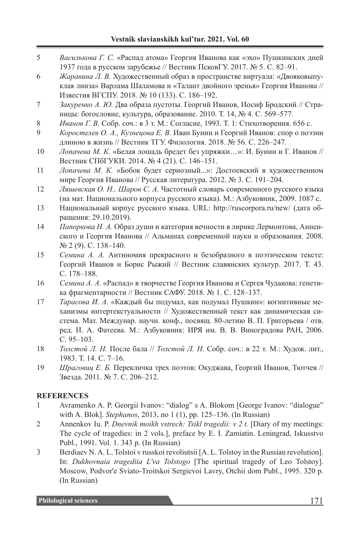# **Vestnik slavianskikh kul'tur. 2021. Vol. 60**

- 5 *Василькова Г. С.* «Распад атома» Георгия Иванова как «эхо» Пушкинских дней 1937 года в русском зарубежье // Вестник ПсковГУ. 2017. № 5. С. 82–91.
- 6 *Жаравина Л. В.* Художественный образ в пространстве виртуала: «Двояковыпуклая линза» Варлама Шаламова и «Талант двойного зренья» Георгия Иванова // Известия ВГСПУ. 2018. № 10 (133). С. 186–192.
- 7 *Закуренко А. Ю.* Два образа пустоты. Георгий Иванов, Иосиф Бродский // Страницы: богословие, культура, образование. 2010. Т. 14, № 4. С. 569–577.
- 8 *Иванов Г. В.* Собр. соч.: в 3 т. М.: Согласие, 1993. Т. 1: Стихотворения. 656 c.
- 9 *Коростелев О. А., Кузнецова Е. В.* Иван Бунин и Георгий Иванов: спор о поэзии длиною в жизнь // Вестник ТГУ. Филология. 2018. № 56. С. 226–247.
- 10 *Лопачева М. К.* «Белая лошадь бредет без упряжки…»: И. Бунин и Г. Иванов // Вестник СПбГУКИ. 2014. № 4 (21). С. 146–151.
- 11 *Лопачева М. К.* «Бобок будет сериозный...»: Достоевский в художественном мире Георгия Иванова // Русская литература. 2012. № 3. С. 191–204.
- 12 *Ляшевская О. Н., Шаров С. А.* Частотный словарь современного русского языка (на мат. Национального корпуса русского языка). М.: Азбуковник, 2009. 1087 c.
- 13 Национальный корпус русского языка. URL: http://ruscorpora.ru/new/ (дата обращения: 29.10.2019).
- 14 *Папоркова Н. А.* Образ души и категория вечности в лирике Лермонтова, Анненского и Георгия Иванова // Альманах современной науки и образования. 2008. № 2 (9). C. 138–140.
- 15 *Семина А. А.* Антиномия прекрасного и безобразного в поэтическом тексте: Георгий Иванов и Борис Рыжий // Вестник славянских культур. 2017. Т. 43. С. 178–188.
- 16 *Семина А. А.* «Распад» в творчестве Георгия Иванова и Сергея Чудакова: генетика фрагментарности // Вестник САФУ. 2018. № 1. С. 128–137.
- 17 *Тарасова И. А.* «Каждый бы подумал, как подумал Пушкин»: когнитивные механизмы интертекстуальности // Художественный текст как динамическая система. Мат. Междунар. научн. конф., посвящ. 80-летию В. П. Григорьева / отв. ред. Н. А. Фатеева. М.: Азбуковник: ИРЯ им. В. В. Виноградова РАН, 2006. С. 95–103.
- 18 *Толстой Л. Н.* После бала // *Толстой Л. Н.* Собр. соч.: в 22 т. М.: Худож. лит., 1983. Т. 14. С. 7–16.
- 19 *Шраговиц Е. Б.* Перекличка трех поэтов: Окуджава, Георгий Иванов, Тютчев // Звезда. 2011. № 7. C. 206–212.

# **REFERENCES**

- 1 Avramenko A. P. Georgii Ivanov: "dialog" s A. Blokom [George Ivanov: "dialogue" with A. Blok]. *Stephanos*, 2013, no 1 (1), pp. 125–136. (In Russian)
- 2 Annenkov Iu. P. *Dnevnik moikh vstrech: Tsikl tragedii: v 2 t.* [Diary of my meetings: The cycle of tragedies: in 2 vols.], preface by E. I. Zamiatin. Leningrad, Iskusstvo Publ., 1991. Vol. 1. 343 p. (In Russian)
- 3 Berdiaev N. A. L. Tolstoi v russkoi revoliutsii [A. L. Tolstoy in the Russian revolution]. In: *Dukhovnaia tragediia L'va Tolstogo* [The spiritual tragedy of Leo Tolstoy]. Moscow, Podvor'e Sviato-Troitskoi Sergievoi Lavry, Otchii dom Publ., 1995. 320 p. (In Russian)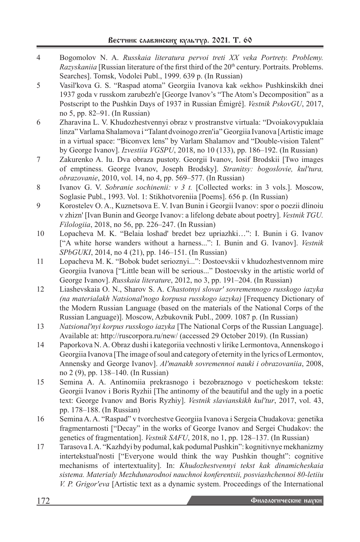- 4 Bogomolov N. A. *Russkaia literatura pervoi treti XX veka Portrety. Problemy. Razyskaniia* [Russian literature of the first third of the 20<sup>th</sup> century. Portraits. Problems. Searches]. Tomsk, Vodolei Publ., 1999. 639 p. (In Russian)
- 5 Vasil'kova G. S. "Raspad atoma" Georgiia Ivanova kak «ekho» Pushkinskikh dnei 1937 goda v russkom zarubezh'e [George Ivanov's "The Atom's Decomposition" as a Postscript to the Pushkin Days of 1937 in Russian Émigré]. *Vestnik PskovGU*, 2017, no 5, pp. 82–91. (In Russian)
- 6 Zharavina L. V. Khudozhestvennyi obraz v prostranstve virtuala: "Dvoiakovypuklaia linza" Varlama Shalamova i "Talant dvoinogo zren'ia" Georgiia Ivanova [Artistic image in a virtual space: "Biconvex lens" by Varlam Shalamov and "Double-vision Talent" by George Ivanov]. *Izvestiia VGSPU*, 2018, no 10 (133), pp. 186–192. (In Russian)
- 7 Zakurenko A. Iu. Dva obraza pustoty. Georgii Ivanov, Iosif Brodskii [Two images of emptiness. George Ivanov, Joseph Brodsky]. *Stranitsy: bogoslovie, kul'tura, obrazovanie*, 2010, vol. 14, no 4, pp. 569–577. (In Russian)
- 8 Ivanov G. V. *Sobranie sochinenii: v 3 t.* [Collected works: in 3 vols.]. Moscow, Soglasie Publ., 1993. Vol. 1: Stikhotvoreniia [Poems]. 656 p. (In Russian)
- 9 Korostelev O. A., Kuznetsova E. V. Ivan Bunin i Georgii Ivanov: spor o poezii dlinoiu v zhizn' [Ivan Bunin and George Ivanov: a lifelong debate about poetry]. *Vestnik TGU. Filologiia*, 2018, no 56, pp. 226–247. (In Russian)
- 10 Lopacheva M. K. "Belaia loshad' bredet bez upriazhki…": I. Bunin i G. Ivanov ["A white horse wanders without a harness...": I. Bunin and G. Ivanov]. *Vestnik SPbGUKI*, 2014, no 4 (21), pp. 146–151. (In Russian)
- 11 Lopacheva M. K. "Bobok budet serioznyi...": Dostoevskii v khudozhestvennom mire Georgiia Ivanova ["Little bean will be serious..." Dostoevsky in the artistic world of George Ivanov]. *Russkaia literature*, 2012, no 3, pp. 191–204. (In Russian)
- 12 Liashevskaia O. N., Sharov S. A. *Chastotnyi slovar' sovremennogo russkogo iazyka (na materialakh Natsional'nogo korpusa russkogo iazyka)* [Frequency Dictionary of the Modern Russian Language (based on the materials of the National Corps of the Russian Language)]. Moscow, Azbukovnik Publ., 2009. 1087 p. (In Russian)
- 13 *Natsional'nyi korpus russkogo iazyka* [The National Corps of the Russian Language]. Available at: http://ruscorpora.ru/new/ (accessed 29 October 2019). (In Russian)
- 14 Paporkova N. A. Obraz dushi i kategoriia vechnosti v lirike Lermontova, Annenskogo i Georgiia Ivanova [The image of soul and category of eternity in the lyrics of Lermontov, Annensky and George Ivanov]. *Al'manakh sovremennoi nauki i obrazovaniia*, 2008, no 2 (9), pp. 138–140. (In Russian)
- 15 Semina A. A. Antinomiia prekrasnogo i bezobraznogo v poeticheskom tekste: Georgii Ivanov i Boris Ryzhii [The antinomy of the beautiful and the ugly in a poetic text: George Ivanov and Boris Ryzhiy]. *Vestnik slavianskikh kul'tur*, 2017, vol. 43, pp. 178–188. (In Russian)
- 16 Semina A. A. "Raspad" v tvorchestve Georgiia Ivanova i Sergeia Chudakova: genetika fragmentarnosti ["Decay" in the works of George Ivanov and Sergei Chudakov: the genetics of fragmentation]. *Vestnik SAFU*, 2018, no 1, pp. 128–137. (In Russian)
- 17 Tarasova I. A. "Kazhdyi by podumal, kak podumal Pushkin": kognitivnye mekhanizmy intertekstual'nosti ["Everyone would think the way Pushkin thought": cognitive mechanisms of intertextuality]. In: *Khudozhestvennyi tekst kak dinamicheskaia sistema. Materialy Mezhdunarodnoi nauchnoi konferentsii, posviashchennoi 80-letiiu V. P. Grigor'eva* [Artistic text as a dynamic system. Proceedings of the International